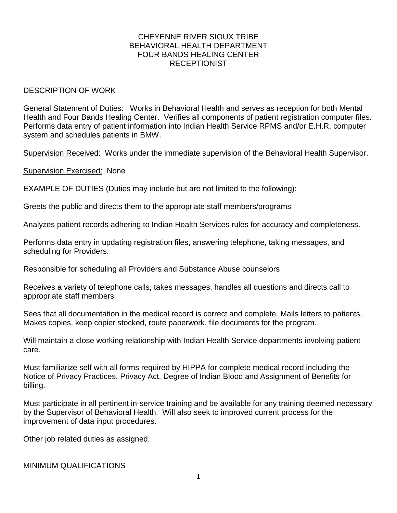## CHEYENNE RIVER SIOUX TRIBE BEHAVIORAL HEALTH DEPARTMENT FOUR BANDS HEALING CENTER **RECEPTIONIST**

## DESCRIPTION OF WORK

General Statement of Duties: Works in Behavioral Health and serves as reception for both Mental Health and Four Bands Healing Center. Verifies all components of patient registration computer files. Performs data entry of patient information into Indian Health Service RPMS and/or E.H.R. computer system and schedules patients in BMW.

Supervision Received: Works under the immediate supervision of the Behavioral Health Supervisor.

Supervision Exercised: None

EXAMPLE OF DUTIES (Duties may include but are not limited to the following):

Greets the public and directs them to the appropriate staff members/programs

Analyzes patient records adhering to Indian Health Services rules for accuracy and completeness.

Performs data entry in updating registration files, answering telephone, taking messages, and scheduling for Providers.

Responsible for scheduling all Providers and Substance Abuse counselors

Receives a variety of telephone calls, takes messages, handles all questions and directs call to appropriate staff members

Sees that all documentation in the medical record is correct and complete. Mails letters to patients. Makes copies, keep copier stocked, route paperwork, file documents for the program.

Will maintain a close working relationship with Indian Health Service departments involving patient care.

Must familiarize self with all forms required by HIPPA for complete medical record including the Notice of Privacy Practices, Privacy Act, Degree of Indian Blood and Assignment of Benefits for billing.

Must participate in all pertinent in-service training and be available for any training deemed necessary by the Supervisor of Behavioral Health. Will also seek to improved current process for the improvement of data input procedures.

Other job related duties as assigned.

MINIMUM QUALIFICATIONS